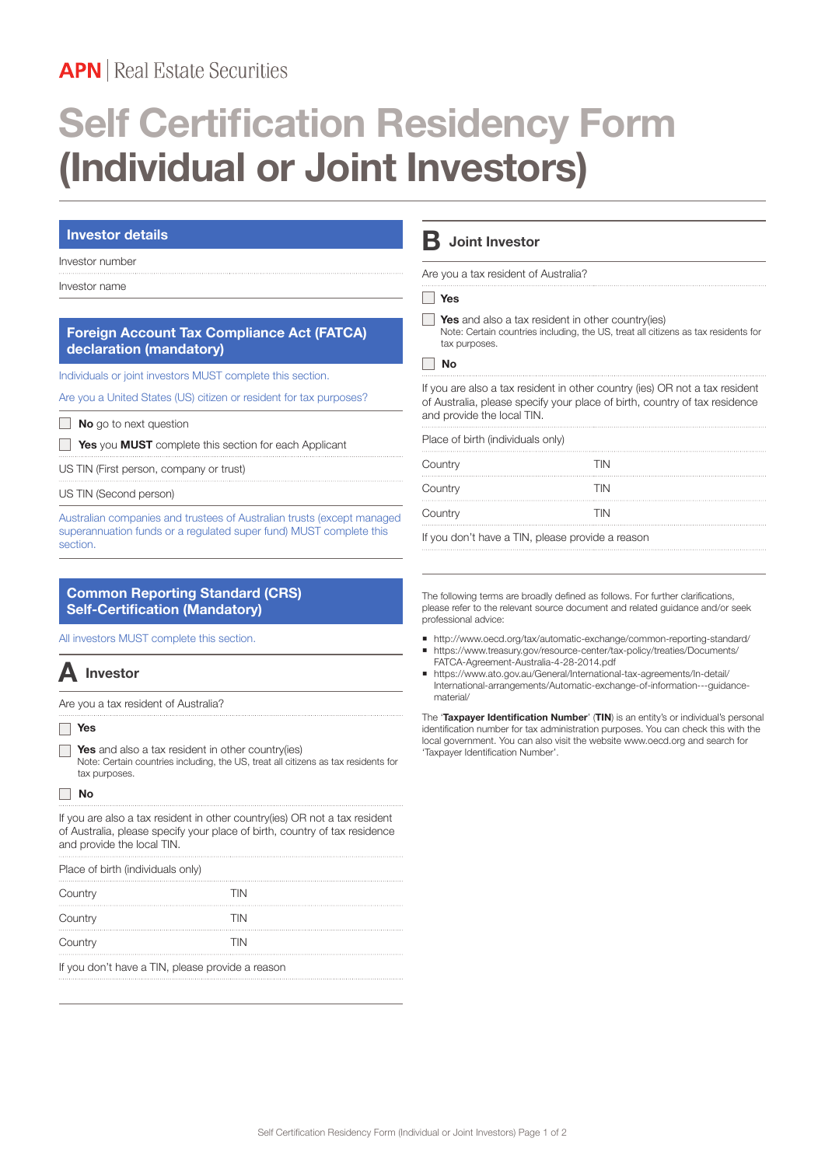# **APN** Real Estate Securities

# **Self Certification Residency Form (Individual or Joint Investors)**

### **Investor details**

### Investor number

Investor name

### **Foreign Account Tax Compliance Act (FATCA) declaration (mandatory)**

Individuals or joint investors MUST complete this section.

Are you a United States (US) citizen or resident for tax purposes?

**No** go to next question

**Yes** you **MUST** complete this section for each Applicant

US TIN (First person, company or trust)

US TIN (Second person)

Australian companies and trustees of Australian trusts (except managed superannuation funds or a regulated super fund) MUST complete this section.

## **Common Reporting Standard (CRS) Self-Certification (Mandatory)**

All investors MUST complete this section.

# **A Investor**

Are you a tax resident of Australia?

 **Yes**

**Yes** and also a tax resident in other country(ies) Note: Certain countries including, the US, treat all citizens as tax residents for tax purposes.

### **No**

If you are also a tax resident in other country(ies) OR not a tax resident of Australia, please specify your place of birth, country of tax residence and provide the local TIN.

| Place of birth (individuals only) |  |  |  |  |  |  |
|-----------------------------------|--|--|--|--|--|--|
|-----------------------------------|--|--|--|--|--|--|

| Country | <b>TIN</b> |
|---------|------------|
| Country | TIN        |
| Country | TIN        |

If you don't have a TIN, please provide a reason

# **B Joint Investor**

Are you a tax resident of Australia?

#### **Yes**

 **Yes** and also a tax resident in other country(ies) Note: Certain countries including, the US, treat all citizens as tax residents for tax purposes.

#### **No**

If you are also a tax resident in other country (ies) OR not a tax resident of Australia, please specify your place of birth, country of tax residence and provide the local TIN.

| Place of birth (individuals only) |            |
|-----------------------------------|------------|
| Country                           | <b>TIN</b> |
| Country                           | <b>TIN</b> |
| Country                           | <b>TIN</b> |
|                                   |            |

If you don't have a TIN, please provide a reason

The following terms are broadly defined as follows. For further clarifications, please refer to the relevant source document and related guidance and/or seek professional advice:

- ¡ http://www.oecd.org/tax/automatic-exchange/common-reporting-standard/ https://www.treasury.gov/resource-center/tax-policy/treaties/Documents/ FATCA-Agreement-Australia-4-28-2014.pdf
- ¡ https://www.ato.gov.au/General/International-tax-agreements/In-detail/ International-arrangements/Automatic-exchange-of-information---guidancematerial/

The '**Taxpayer Identification Number**' (**TIN**) is an entity's or individual's personal identification number for tax administration purposes. You can check this with the local government. You can also visit the website www.oecd.org and search for 'Taxpayer Identification Number'.